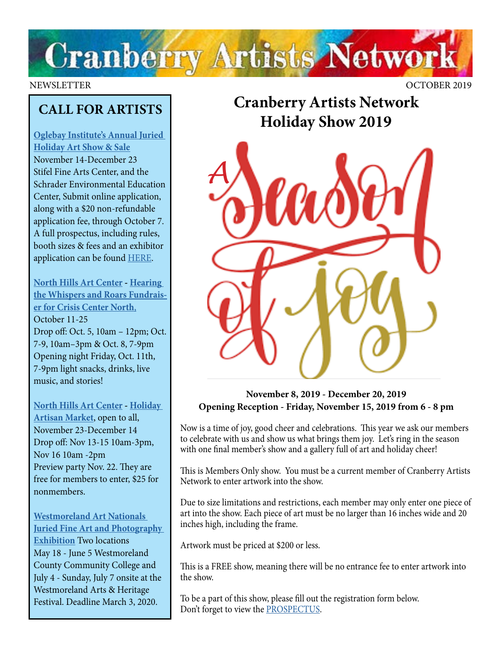

NEWSLETTER OCTOBER 2019

## **CALL FOR ARTISTS**

**[Oglebay Institute's Annual Juried](http://OIonline.com/holidayart)  [Holiday Art Show & Sale](http://OIonline.com/holidayart)** November 14-December 23 Stifel Fine Arts Center, and the Schrader Environmental Education Center, Submit online application, along with a \$20 non-refundable application fee, through October 7. A full prospectus, including rules, booth sizes & fees and an exhibitor application can be found [HERE.](http://OIonline.com/holidayart)

**[North Hills Art Center](https://northhillsartcenter.org/) - [Hearing](https://drive.google.com/file/d/1ZMMi9Ky6zJOyyEldAbedoNtQ86ICo-E2/view?fbclid=IwAR088NZYw2wZQ-mFWmqvQ1favbSj5VfcX4i296JD7DB3vrLQU545bZwpA8Y)  [the Whispers and Roars Fundrais](https://drive.google.com/file/d/1ZMMi9Ky6zJOyyEldAbedoNtQ86ICo-E2/view?fbclid=IwAR088NZYw2wZQ-mFWmqvQ1favbSj5VfcX4i296JD7DB3vrLQU545bZwpA8Y)[er for Crisis Center North](https://drive.google.com/file/d/1ZMMi9Ky6zJOyyEldAbedoNtQ86ICo-E2/view?fbclid=IwAR088NZYw2wZQ-mFWmqvQ1favbSj5VfcX4i296JD7DB3vrLQU545bZwpA8Y)**, October 11-25 Drop off: Oct. 5, 10am – 12pm; Oct. 7-9, 10am–3pm & Oct. 8, 7-9pm Opening night Friday, Oct. 11th, 7-9pm light snacks, drinks, live music, and stories!

### **[North Hills Art Center](https://northhillsartcenter.org/) - [Holiday](https://northhillsartcenter.org/resources/Pictures/Events/HAM%20Artist%20Call%202019.jpg)**

**[Artisan Market](https://northhillsartcenter.org/resources/Pictures/Events/HAM%20Artist%20Call%202019.jpg)**, open to all, November 23-December 14 Drop off: Nov 13-15 10am-3pm, Nov 16 10am -2pm Preview party Nov. 22. They are free for members to enter, \$25 for nonmembers.

**[Westmoreland Art Nationals](https://artsandheritage.com/the-arts/art-nationals/)  [Juried Fine Art and Photography](https://artsandheritage.com/the-arts/art-nationals/)  [Exhibition](https://artsandheritage.com/the-arts/art-nationals/)** Two locations May 18 - June 5 Westmoreland County Community College and July 4 - Sunday, July 7 onsite at the Westmoreland Arts & Heritage Festival. Deadline March 3, 2020.

## **Cranberry Artists Network Holiday Show 2019**



**November 8, 2019 - December 20, 2019 Opening Reception - Friday, November 15, 2019 from 6 - 8 pm**

Now is a time of joy, good cheer and celebrations. This year we ask our members to celebrate with us and show us what brings them joy. Let's ring in the season with one final member's show and a gallery full of art and holiday cheer!

This is Members Only show. You must be a current member of Cranberry Artists Network to enter artwork into the show.

Due to size limitations and restrictions, each member may only enter one piece of art into the show. Each piece of art must be no larger than 16 inches wide and 20 inches high, including the frame.

Artwork must be priced at \$200 or less.

This is a FREE show, meaning there will be no entrance fee to enter artwork into the show.

To be a part of this show, please fill out the registration form below. Don't forget to view the [PROSPECTUS](https://docs.wixstatic.com/ugd/5391af_bb506ce7b39742be990d13750546c849.pdf).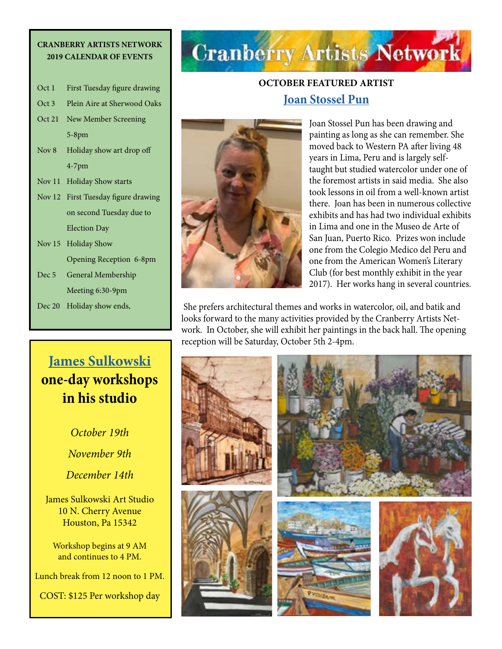#### **CRANBERRY ARTISTS NETWORK 2019 CALENDAR OF EVENTS**

| Oct 1    | First Tuesday figure drawing        |
|----------|-------------------------------------|
| Oct 3    | Plein Aire at Sherwood Oaks         |
| Oct 21   | New Member Screening                |
|          | 5-8pm                               |
| Nov 8    | Holiday show art drop off           |
|          | $4-7$ pm                            |
|          | Nov 11 Holiday Show starts          |
|          | Nov 12 First Tuesday figure drawing |
|          | on second Tuesday due to            |
|          | <b>Election Day</b>                 |
| Nov $15$ | <b>Holiday Show</b>                 |
|          | Opening Reception 6-8pm             |
| Dec 5    | General Membership                  |
|          | Meeting 6:30-9pm                    |

Dec 20 Holiday show ends,

## **[James Sulkowski](https://www.jamessulkowskifineart.com/) one-day workshops in his studio**

*October 19th November 9th December 14th*

James Sulkowski Art Studio 10 N. Cherry Avenue Houston, Pa 15342

Workshop begins at 9 AM and continues to 4 PM.

Lunch break from 12 noon to 1 PM.

COST: \$125 Per workshop day

## **Cranberry Artists Network**

## **OCTOBER FEATURED ARTIST [Joan Stossel Pun](https://www.facebook.com/joanstossel.pun)**



Joan Stossel Pun has been drawing and painting as long as she can remember. She moved back to Western PA after living 48 years in Lima, Peru and is largely selftaught but studied watercolor under one of the foremost artists in said media. She also took lessons in oil from a well-known artist there. Joan has been in numerous collective exhibits and has had two individual exhibits in Lima and one in the Museo de Arte of San Juan, Puerto Rico. Prizes won include one from the Colegio Medico del Peru and one from the American Women's Literary Club (for best monthly exhibit in the year 2017). Her works hang in several countries.

 She prefers architectural themes and works in watercolor, oil, and batik and looks forward to the many activities provided by the Cranberry Artists Network. In October, she will exhibit her paintings in the back hall. The opening reception will be Saturday, October 5th 2-4pm.

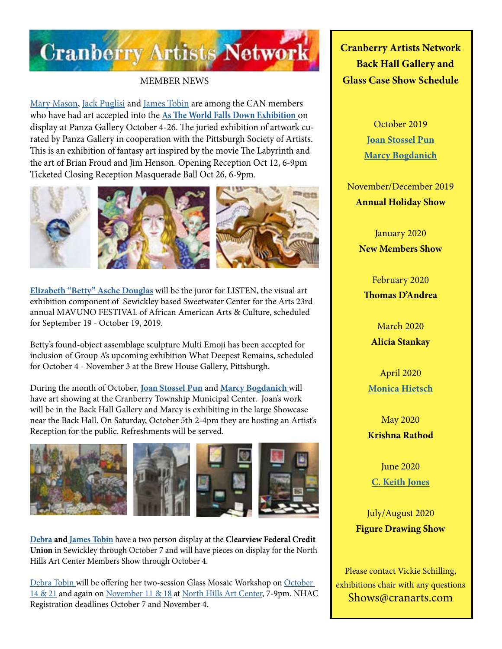

#### MEMBER NEWS

[Mary Mason,](https://www.facebook.com/mary.b.mason.9) [Jack Puglisi](https://www.facebook.com/facesbyjack) and [James Tobin](http://www.JamesTobinart.com) are among the CAN members who have had art accepted into the **[As The World Falls Down Exhibition](https://www.pittsburghsocietyofartists.org/event-3471307)** on display at Panza Gallery October 4-26. The juried exhibition of artwork curated by Panza Gallery in cooperation with the Pittsburgh Society of Artists. This is an exhibition of fantasy art inspired by the movie The Labyrinth and the art of Brian Froud and Jim Henson. Opening Reception Oct 12, 6-9pm Ticketed Closing Reception Masquerade Ball Oct 26, 6-9pm.







**[Elizabeth "Betty" Asche Douglas](http://douglasartgallery.com/)** will be the juror for LISTEN, the visual art exhibition component of Sewickley based Sweetwater Center for the Arts 23rd annual MAVUNO FESTIVAL of African American Arts & Culture, scheduled for September 19 - October 19, 2019.

Betty's found-object assemblage sculpture Multi Emoji has been accepted for inclusion of Group A's upcoming exhibition What Deepest Remains, scheduled for October 4 - November 3 at the Brew House Gallery, Pittsburgh.

During the month of October, **[Joan Stossel Pun](https://www.facebook.com/joanstossel.pun)** and **[Marcy Bogdanich](https://www.facebook.com/marcy.bogdanich.12)** will have art showing at the Cranberry Township Municipal Center. Joan's work will be in the Back Hall Gallery and Marcy is exhibiting in the large Showcase near the Back Hall. On Saturday, October 5th 2-4pm they are hosting an Artist's Reception for the public. Refreshments will be served.



**[Debra](http://www.debratobinart.com) an[d James Tobin](https://jamestobinart.com/)** have a two person display at the **Clearview Federal Credit Union** in Sewickley through October 7 and will have pieces on display for the North Hills Art Center Members Show through October 4.

[Debra Tobin](http://www.debratobinart.com) will be offering her two-session Glass Mosaic Workshop on October [14 & 21](https://northhillsartcenter.org/event-3512837) and again on [November 11 & 18](https://northhillsartcenter.org/event-3512838) at [North Hills Art Center,](https://northhillsartcenter.org/) 7-9pm. NHAC Registration deadlines October 7 and November 4.

**Cranberry Artists Network Back Hall Gallery and Glass Case Show Schedule** 

> October 2019 **[Joan Stossel Pun](https://www.facebook.com/joanstossel.pun) [Marcy Bogdanich](https://www.facebook.com/marcy.bogdanich.12)**

November/December 2019 **Annual Holiday Show**

> January 2020 **New Members Show**

February 2020 **Thomas D'Andrea**

March 2020 **Alicia Stankay**

April 2020 **[Monica Hietsch](https://www.monicahietsch.com/)**

May 2020 **Krishna Rathod**

June 2020 **[C. Keith Jones](http://ckeithjonesartist.com/)**

July/August 2020 **Figure Drawing Show**

Please contact Vickie Schilling, exhibitions chair with any questions Shows@cranarts.com